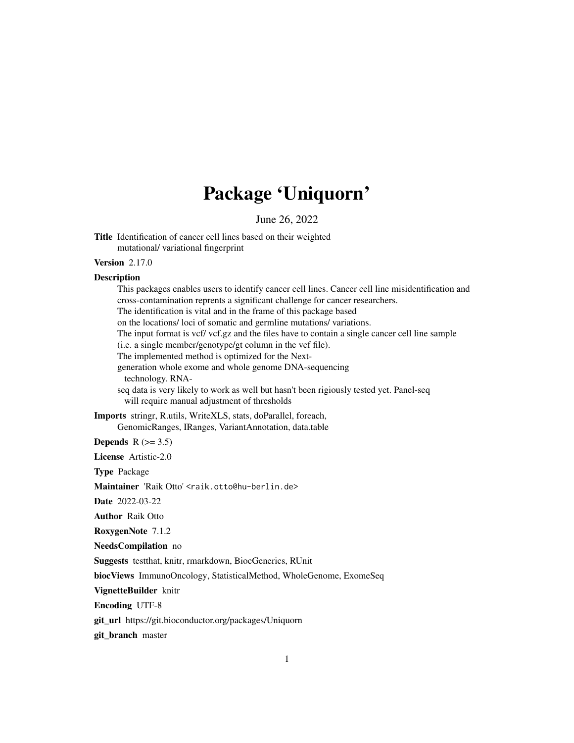# Package 'Uniquorn'

June 26, 2022

This packages enables users to identify cancer cell lines. Cancer cell line misidentification and

Title Identification of cancer cell lines based on their weighted mutational/ variational fingerprint

#### Version 2.17.0

#### **Description**

cross-contamination reprents a significant challenge for cancer researchers. The identification is vital and in the frame of this package based on the locations/ loci of somatic and germline mutations/ variations. The input format is vcf/ vcf.gz and the files have to contain a single cancer cell line sample (i.e. a single member/genotype/gt column in the vcf file). The implemented method is optimized for the Nextgeneration whole exome and whole genome DNA-sequencing technology. RNAseq data is very likely to work as well but hasn't been rigiously tested yet. Panel-seq will require manual adjustment of thresholds Imports stringr, R.utils, WriteXLS, stats, doParallel, foreach, GenomicRanges, IRanges, VariantAnnotation, data.table Depends  $R$  ( $> = 3.5$ ) License Artistic-2.0 Type Package Maintainer 'Raik Otto' <raik.otto@hu-berlin.de> Date 2022-03-22 Author Raik Otto RoxygenNote 7.1.2 NeedsCompilation no Suggests testthat, knitr, rmarkdown, BiocGenerics, RUnit biocViews ImmunoOncology, StatisticalMethod, WholeGenome, ExomeSeq VignetteBuilder knitr Encoding UTF-8 git\_url https://git.bioconductor.org/packages/Uniquorn

git\_branch master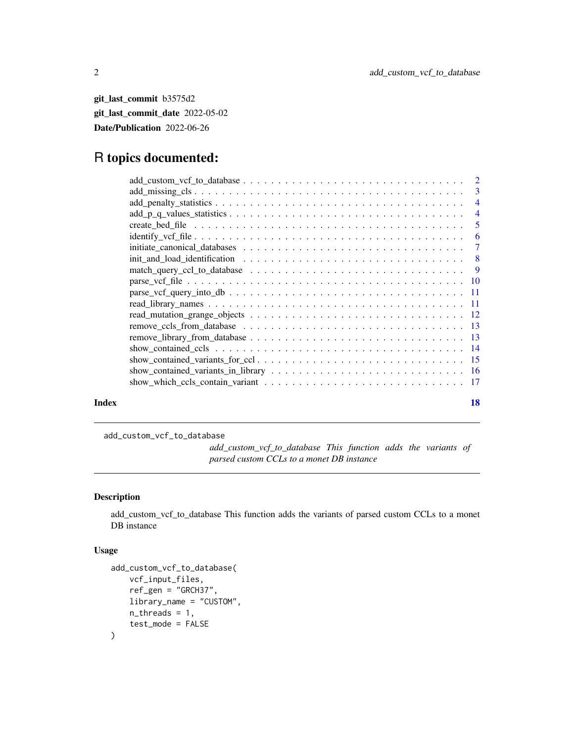<span id="page-1-0"></span>git\_last\_commit b3575d2 git\_last\_commit\_date 2022-05-02 Date/Publication 2022-06-26

# R topics documented:

|       | $identity_vcf_{\text{file}}\ldots \ldots \ldots \ldots \ldots \ldots \ldots \ldots \ldots \ldots \ldots \ldots$ |    |
|-------|-----------------------------------------------------------------------------------------------------------------|----|
|       |                                                                                                                 |    |
|       |                                                                                                                 |    |
|       |                                                                                                                 |    |
|       |                                                                                                                 |    |
|       |                                                                                                                 |    |
|       |                                                                                                                 |    |
|       |                                                                                                                 |    |
|       |                                                                                                                 |    |
|       |                                                                                                                 |    |
|       |                                                                                                                 |    |
|       |                                                                                                                 |    |
|       |                                                                                                                 |    |
|       |                                                                                                                 |    |
| Index |                                                                                                                 | 18 |

add\_custom\_vcf\_to\_database

*add\_custom\_vcf\_to\_database This function adds the variants of parsed custom CCLs to a monet DB instance*

# Description

add\_custom\_vcf\_to\_database This function adds the variants of parsed custom CCLs to a monet DB instance

#### Usage

```
add_custom_vcf_to_database(
    vcf_input_files,
    ref_gen = "GRCH37",
    library_name = "CUSTOM",
    n_threads = 1,
    test_mode = FALSE
\mathcal{L}
```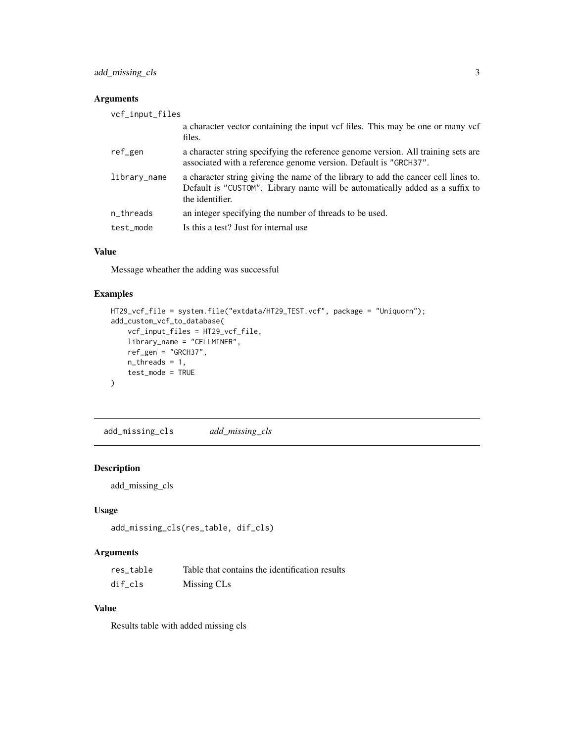<span id="page-2-0"></span>add\_missing\_cls 3

# Arguments

| vcf_input_files |                                                                                                                                                                                       |
|-----------------|---------------------------------------------------------------------------------------------------------------------------------------------------------------------------------------|
|                 | a character vector containing the input vcf files. This may be one or many vcf<br>files.                                                                                              |
| ref_gen         | a character string specifying the reference genome version. All training sets are<br>associated with a reference genome version. Default is "GRCH37".                                 |
| library_name    | a character string giving the name of the library to add the cancer cell lines to.<br>Default is "CUSTOM". Library name will be automatically added as a suffix to<br>the identifier. |
| n_threads       | an integer specifying the number of threads to be used.                                                                                                                               |
| test_mode       | Is this a test? Just for internal use                                                                                                                                                 |

# Value

Message wheather the adding was successful

# Examples

```
HT29_vcf_file = system.file("extdata/HT29_TEST.vcf", package = "Uniquorn");
add_custom_vcf_to_database(
    vcf_input_files = HT29_vcf_file,
    library_name = "CELLMINER",
    ref_gen = "GRCH37",
    n_threads = 1,
    test_mode = TRUE
\mathcal{L}
```
add\_missing\_cls *add\_missing\_cls*

#### Description

add\_missing\_cls

# Usage

```
add_missing_cls(res_table, dif_cls)
```
# Arguments

| res table | Table that contains the identification results |
|-----------|------------------------------------------------|
| dif cls   | Missing CLs                                    |

#### Value

Results table with added missing cls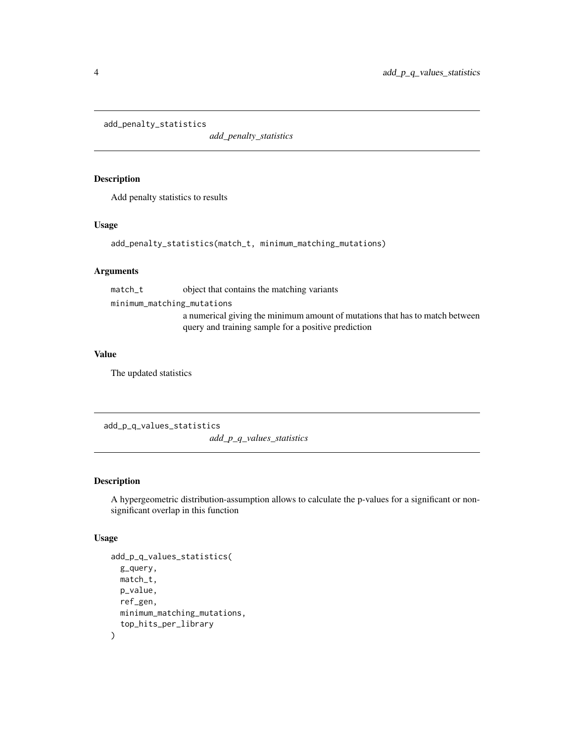<span id="page-3-0"></span>add\_penalty\_statistics

*add\_penalty\_statistics*

# Description

Add penalty statistics to results

#### Usage

add\_penalty\_statistics(match\_t, minimum\_matching\_mutations)

#### Arguments

match\_t object that contains the matching variants

minimum\_matching\_mutations

a numerical giving the minimum amount of mutations that has to match between query and training sample for a positive prediction

#### Value

The updated statistics

add\_p\_q\_values\_statistics

*add\_p\_q\_values\_statistics*

# Description

A hypergeometric distribution-assumption allows to calculate the p-values for a significant or nonsignificant overlap in this function

#### Usage

```
add_p_q_values_statistics(
  g_query,
 match_t,
 p_value,
  ref_gen,
 minimum_matching_mutations,
  top_hits_per_library
\mathcal{E}
```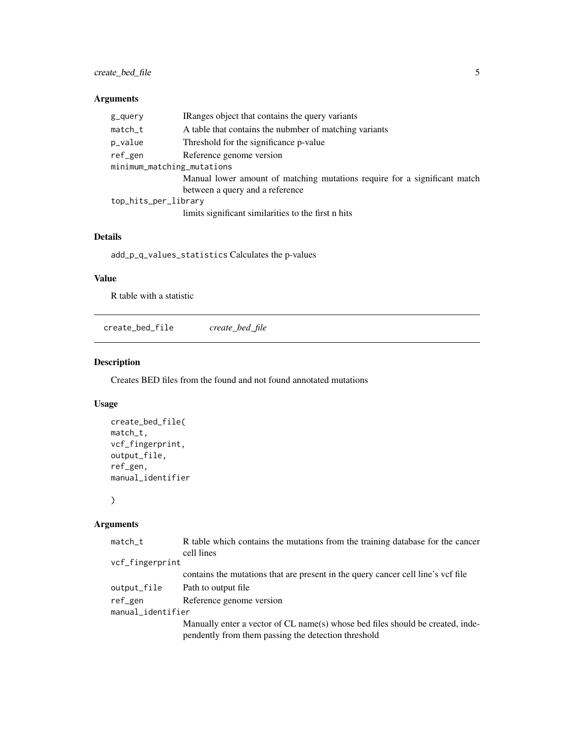# <span id="page-4-0"></span>create\_bed\_file 5

# Arguments

| g_query                    | IRanges object that contains the query variants                           |  |
|----------------------------|---------------------------------------------------------------------------|--|
| match_t                    | A table that contains the nubmber of matching variants                    |  |
| p_value                    | Threshold for the significance p-value                                    |  |
| ref_gen                    | Reference genome version                                                  |  |
| minimum_matching_mutations |                                                                           |  |
|                            | Manual lower amount of matching mutations require for a significant match |  |
|                            | between a query and a reference                                           |  |
| top_hits_per_library       |                                                                           |  |
|                            | limits significant similarities to the first n hits                       |  |

#### Details

add\_p\_q\_values\_statistics Calculates the p-values

# Value

R table with a statistic

create\_bed\_file *create\_bed\_file*

# Description

Creates BED files from the found and not found annotated mutations

# Usage

```
create_bed_file(
match_t,
vcf_fingerprint,
output_file,
ref_gen,
manual_identifier
```
)

# Arguments

| $match_t$         | R table which contains the mutations from the training database for the cancer                                                        |
|-------------------|---------------------------------------------------------------------------------------------------------------------------------------|
|                   | cell lines                                                                                                                            |
| vcf_fingerprint   |                                                                                                                                       |
|                   | contains the mutations that are present in the query cancer cell line's vcf file                                                      |
| output_file       | Path to output file                                                                                                                   |
| ref_gen           | Reference genome version                                                                                                              |
| manual_identifier |                                                                                                                                       |
|                   | Manually enter a vector of CL name(s) whose bed files should be created, inde-<br>pendently from them passing the detection threshold |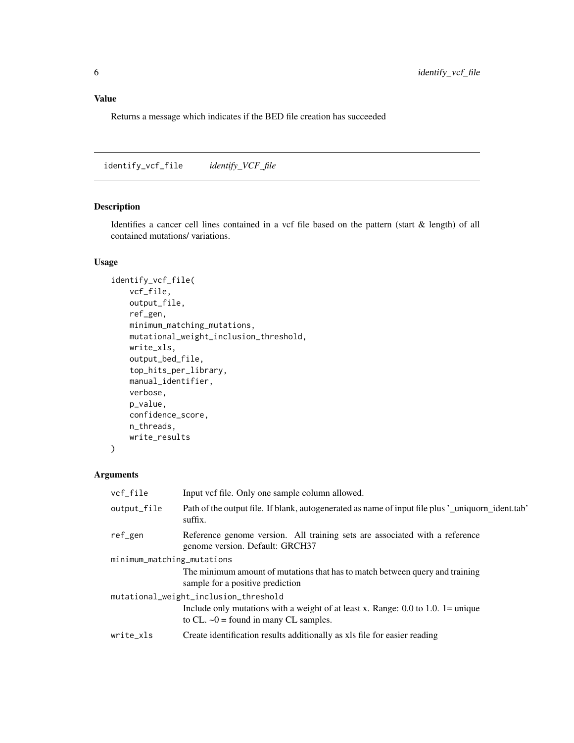# <span id="page-5-0"></span>Value

Returns a message which indicates if the BED file creation has succeeded

identify\_vcf\_file *identify\_VCF\_file*

# Description

Identifies a cancer cell lines contained in a vcf file based on the pattern (start & length) of all contained mutations/ variations.

#### Usage

```
identify_vcf_file(
    vcf_file,
   output_file,
   ref_gen,
   minimum_matching_mutations,
   mutational_weight_inclusion_threshold,
   write_xls,
   output_bed_file,
    top_hits_per_library,
   manual_identifier,
   verbose,
   p_value,
   confidence_score,
   n_threads,
   write_results
)
```
# Arguments

| vcf_file                   | Input vcf file. Only one sample column allowed.                                                                                       |  |
|----------------------------|---------------------------------------------------------------------------------------------------------------------------------------|--|
| output_file                | Path of the output file. If blank, autogenerated as name of input file plus '_uniquorn_ident.tab'<br>suffix.                          |  |
| ref_gen                    | Reference genome version. All training sets are associated with a reference<br>genome version. Default: GRCH37                        |  |
| minimum_matching_mutations |                                                                                                                                       |  |
|                            | The minimum amount of mutations that has to match between query and training<br>sample for a positive prediction                      |  |
|                            | mutational_weight_inclusion_threshold                                                                                                 |  |
|                            | Include only mutations with a weight of at least x. Range: $0.0$ to $1.0$ . 1 = unique<br>to CL. $\sim 0$ = found in many CL samples. |  |
| write xls                  | Create identification results additionally as xls file for easier reading                                                             |  |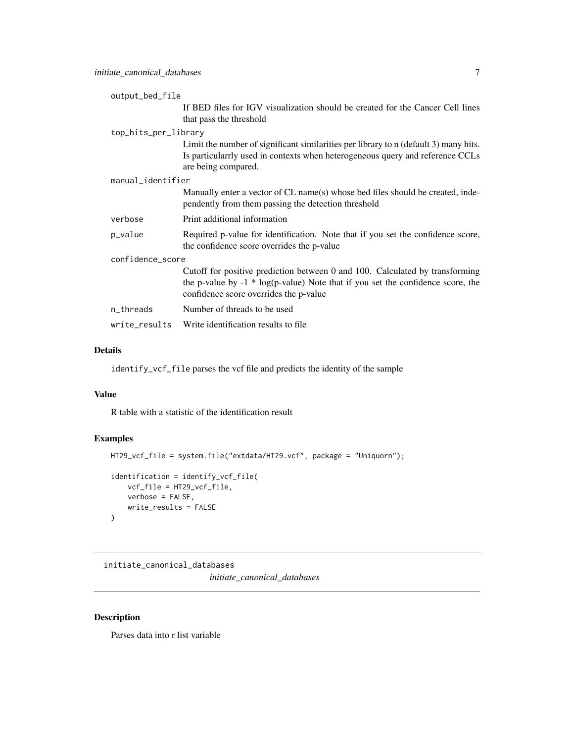<span id="page-6-0"></span>output\_bed\_file

|                  |                      | If BED files for IGV visualization should be created for the Cancer Cell lines<br>that pass the threshold                                                                                                   |
|------------------|----------------------|-------------------------------------------------------------------------------------------------------------------------------------------------------------------------------------------------------------|
|                  | top_hits_per_library |                                                                                                                                                                                                             |
|                  |                      | Limit the number of significant similarities per library to n (default 3) many hits.<br>Is particularrly used in contexts when heterogeneous query and reference CCLs<br>are being compared.                |
|                  | manual_identifier    |                                                                                                                                                                                                             |
|                  |                      | Manually enter a vector of CL name(s) whose bed files should be created, inde-<br>pendently from them passing the detection threshold                                                                       |
|                  | verbose              | Print additional information                                                                                                                                                                                |
|                  | p_value              | Required p-value for identification. Note that if you set the confidence score,<br>the confidence score overrides the p-value                                                                               |
| confidence_score |                      |                                                                                                                                                                                                             |
|                  |                      | Cutoff for positive prediction between 0 and 100. Calculated by transforming<br>the p-value by $-1 * log(p-value)$ Note that if you set the confidence score, the<br>confidence score overrides the p-value |
|                  | n_threads            | Number of threads to be used                                                                                                                                                                                |
|                  | write_results        | Write identification results to file.                                                                                                                                                                       |
|                  |                      |                                                                                                                                                                                                             |

# Details

identify\_vcf\_file parses the vcf file and predicts the identity of the sample

#### Value

R table with a statistic of the identification result

# Examples

```
HT29_vcf_file = system.file("extdata/HT29.vcf", package = "Uniquorn");
identification = identify_vcf_file(
    vcf_file = HT29_vcf_file,
    verbose = FALSE,
    write_results = FALSE
\mathcal{L}
```
initiate\_canonical\_databases

*initiate\_canonical\_databases*

# Description

Parses data into r list variable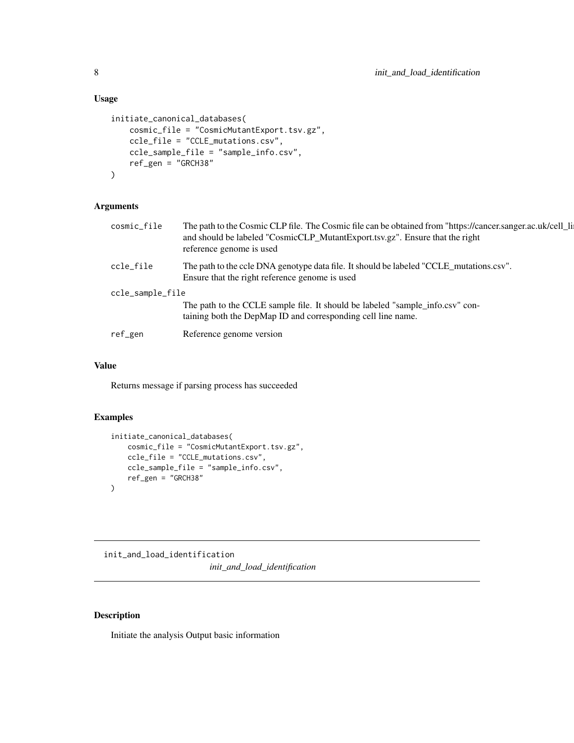# Usage

```
initiate_canonical_databases(
    cosmic_file = "CosmicMutantExport.tsv.gz",
    ccle_file = "CCLE_mutations.csv",
    ccle_sample_file = "sample_info.csv",
    ref_gen = "GRCH38"
\mathcal{L}
```
# Arguments

| cosmic_file      | The path to the Cosmic CLP file. The Cosmic file can be obtained from "https://cancer.sanger.ac.uk/cell_li<br>and should be labeled "CosmicCLP_MutantExport.tsv.gz". Ensure that the right<br>reference genome is used |
|------------------|------------------------------------------------------------------------------------------------------------------------------------------------------------------------------------------------------------------------|
| ccle_file        | The path to the ccle DNA genotype data file. It should be labeled "CCLE_mutations.csv".<br>Ensure that the right reference genome is used                                                                              |
| ccle_sample_file |                                                                                                                                                                                                                        |
|                  | The path to the CCLE sample file. It should be labeled "sample_info.csv" con-<br>taining both the DepMap ID and corresponding cell line name.                                                                          |
| ref_gen          | Reference genome version                                                                                                                                                                                               |
|                  |                                                                                                                                                                                                                        |

## Value

Returns message if parsing process has succeeded

# Examples

```
initiate_canonical_databases(
    cosmic_file = "CosmicMutantExport.tsv.gz",
    ccle_file = "CCLE_mutations.csv",
    ccle_sample_file = "sample_info.csv",
    ref_gen = "GRCH38"
\lambda
```
init\_and\_load\_identification *init\_and\_load\_identification*

# Description

Initiate the analysis Output basic information

<span id="page-7-0"></span>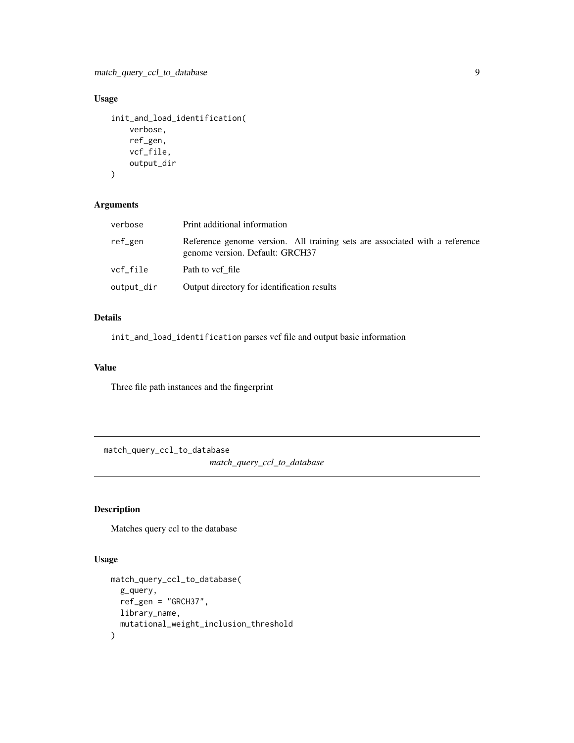<span id="page-8-0"></span>match\_query\_ccl\_to\_database 9

# Usage

```
init_and_load_identification(
    verbose,
    ref_gen,
    vcf_file,
    output_dir
\mathcal{L}
```
# Arguments

| verbose    | Print additional information                                                                                   |
|------------|----------------------------------------------------------------------------------------------------------------|
| ref_gen    | Reference genome version. All training sets are associated with a reference<br>genome version. Default: GRCH37 |
| vcf file   | Path to vef file                                                                                               |
| output_dir | Output directory for identification results                                                                    |

#### Details

init\_and\_load\_identification parses vcf file and output basic information

# Value

Three file path instances and the fingerprint

match\_query\_ccl\_to\_database *match\_query\_ccl\_to\_database*

# Description

Matches query ccl to the database

#### Usage

```
match_query_ccl_to_database(
 g_query,
 ref_gen = "GRCH37",
 library_name,
  mutational_weight_inclusion_threshold
\mathcal{L}
```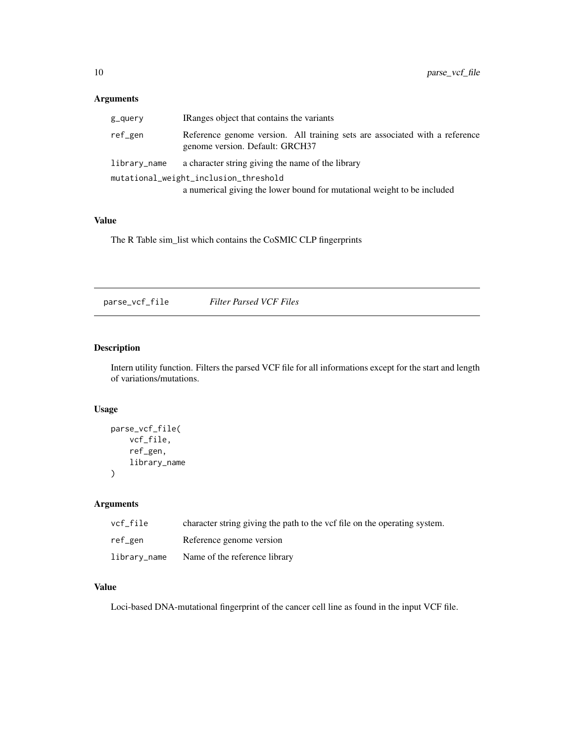### <span id="page-9-0"></span>Arguments

| g_query                               | IRanges object that contains the variants                                                                      |  |
|---------------------------------------|----------------------------------------------------------------------------------------------------------------|--|
| ref_gen                               | Reference genome version. All training sets are associated with a reference<br>genome version. Default: GRCH37 |  |
| library_name                          | a character string giving the name of the library                                                              |  |
| mutational_weight_inclusion_threshold |                                                                                                                |  |
|                                       | a numerical giving the lower bound for mutational weight to be included                                        |  |

# Value

The R Table sim\_list which contains the CoSMIC CLP fingerprints

parse\_vcf\_file *Filter Parsed VCF Files*

# Description

Intern utility function. Filters the parsed VCF file for all informations except for the start and length of variations/mutations.

#### Usage

```
parse_vcf_file(
    vcf_file,
    ref_gen,
    library_name
)
```
# Arguments

| vcf file     | character string giving the path to the vef file on the operating system. |
|--------------|---------------------------------------------------------------------------|
| ref_gen      | Reference genome version                                                  |
| library_name | Name of the reference library                                             |

#### Value

Loci-based DNA-mutational fingerprint of the cancer cell line as found in the input VCF file.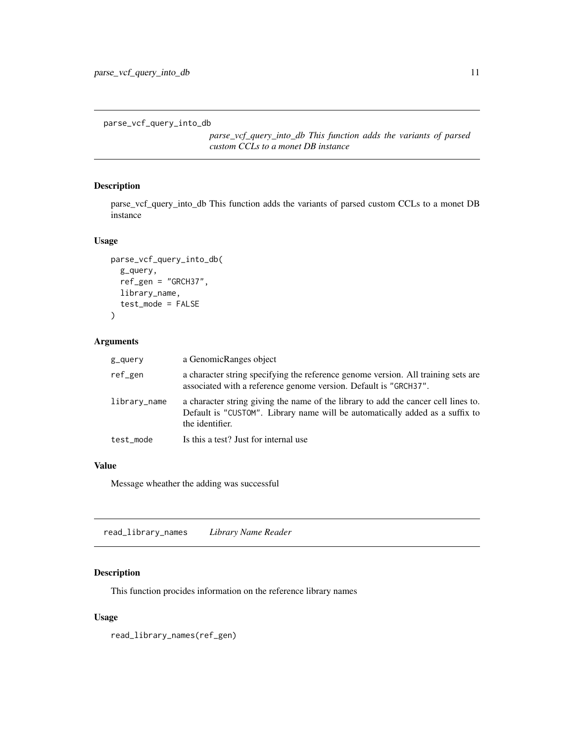```
parse_vcf_query_into_db
```
*parse\_vcf\_query\_into\_db This function adds the variants of parsed custom CCLs to a monet DB instance*

# Description

parse\_vcf\_query\_into\_db This function adds the variants of parsed custom CCLs to a monet DB instance

# Usage

```
parse_vcf_query_into_db(
  g_query,
  ref_gen = "GRCH37",
  library_name,
  test_mode = FALSE
\mathcal{L}
```
#### Arguments

| g_query      | a GenomicRanges object                                                                                                                                                                |
|--------------|---------------------------------------------------------------------------------------------------------------------------------------------------------------------------------------|
| ref_gen      | a character string specifying the reference genome version. All training sets are<br>associated with a reference genome version. Default is "GRCH37".                                 |
| library_name | a character string giving the name of the library to add the cancer cell lines to.<br>Default is "CUSTOM". Library name will be automatically added as a suffix to<br>the identifier. |
| test mode    | Is this a test? Just for internal use                                                                                                                                                 |
|              |                                                                                                                                                                                       |

#### Value

Message wheather the adding was successful

read\_library\_names *Library Name Reader*

#### Description

This function procides information on the reference library names

# Usage

read\_library\_names(ref\_gen)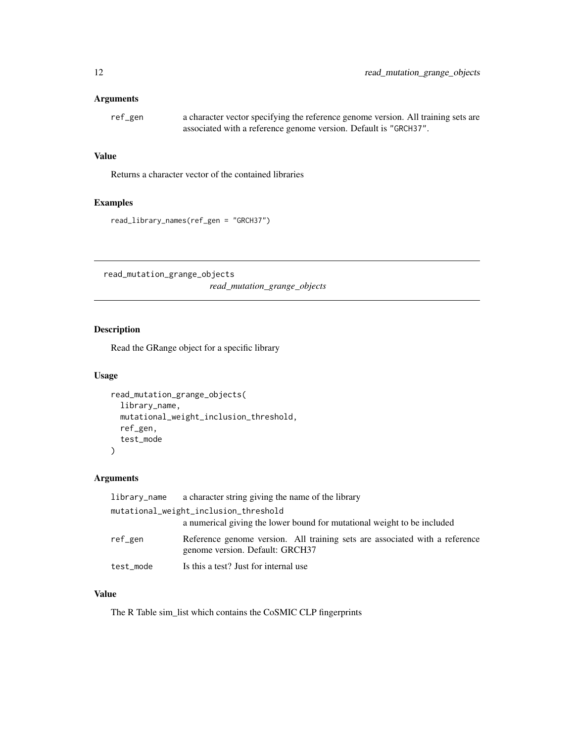#### <span id="page-11-0"></span>Arguments

ref\_gen a character vector specifying the reference genome version. All training sets are associated with a reference genome version. Default is "GRCH37".

#### Value

Returns a character vector of the contained libraries

#### Examples

read\_library\_names(ref\_gen = "GRCH37")

read\_mutation\_grange\_objects *read\_mutation\_grange\_objects*

# Description

Read the GRange object for a specific library

#### Usage

```
read_mutation_grange_objects(
  library_name,
  mutational_weight_inclusion_threshold,
  ref_gen,
  test_mode
\mathcal{L}
```
#### Arguments

| library_name | a character string giving the name of the library                                                              |
|--------------|----------------------------------------------------------------------------------------------------------------|
|              | mutational_weight_inclusion_threshold                                                                          |
|              | a numerical giving the lower bound for mutational weight to be included                                        |
| ref_gen      | Reference genome version. All training sets are associated with a reference<br>genome version. Default: GRCH37 |
| test_mode    | Is this a test? Just for internal use                                                                          |

#### Value

The R Table sim\_list which contains the CoSMIC CLP fingerprints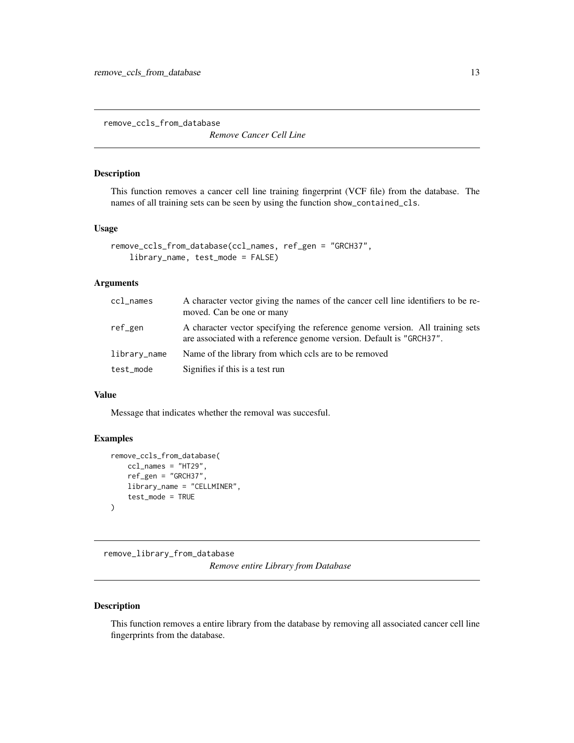<span id="page-12-0"></span>remove\_ccls\_from\_database

*Remove Cancer Cell Line*

#### Description

This function removes a cancer cell line training fingerprint (VCF file) from the database. The names of all training sets can be seen by using the function show\_contained\_cls.

#### Usage

```
remove_ccls_from_database(ccl_names, ref_gen = "GRCH37",
   library_name, test_mode = FALSE)
```
# Arguments

| ccl_names    | A character vector giving the names of the cancer cell line identifiers to be re-<br>moved. Can be one or many                                        |
|--------------|-------------------------------------------------------------------------------------------------------------------------------------------------------|
| ref_gen      | A character vector specifying the reference genome version. All training sets<br>are associated with a reference genome version. Default is "GRCH37". |
| library_name | Name of the library from which cols are to be removed                                                                                                 |
| test_mode    | Signifies if this is a test run                                                                                                                       |

#### Value

Message that indicates whether the removal was succesful.

# Examples

```
remove_ccls_from_database(
    ccl_names = "HT29",
    ref_gen = "GRCH37",
    library_name = "CELLMINER",
    test_mode = TRUE
\mathcal{L}
```
remove\_library\_from\_database

*Remove entire Library from Database*

#### Description

This function removes a entire library from the database by removing all associated cancer cell line fingerprints from the database.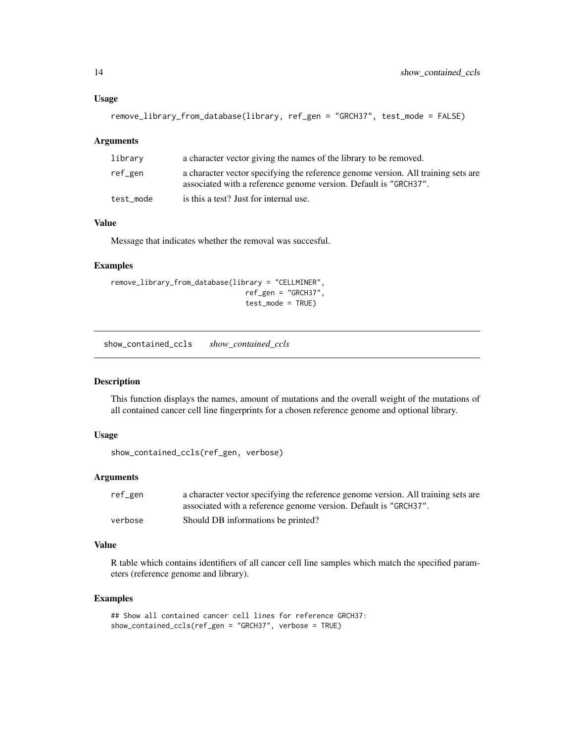#### <span id="page-13-0"></span>Usage

```
remove_library_from_database(library, ref_gen = "GRCH37", test_mode = FALSE)
```
#### **Arguments**

| library   | a character vector giving the names of the library to be removed.                                                                                     |
|-----------|-------------------------------------------------------------------------------------------------------------------------------------------------------|
| ref_gen   | a character vector specifying the reference genome version. All training sets are<br>associated with a reference genome version. Default is "GRCH37". |
| test mode | is this a test? Just for internal use.                                                                                                                |

#### Value

Message that indicates whether the removal was succesful.

#### Examples

```
remove_library_from_database(library = "CELLMINER",
                                ref_gen = "GRCH37",
                                test_mode = TRUE)
```
show\_contained\_ccls *show\_contained\_ccls*

# Description

This function displays the names, amount of mutations and the overall weight of the mutations of all contained cancer cell line fingerprints for a chosen reference genome and optional library.

# Usage

show\_contained\_ccls(ref\_gen, verbose)

#### Arguments

| ref_gen | a character vector specifying the reference genome version. All training sets are |
|---------|-----------------------------------------------------------------------------------|
|         | associated with a reference genome version. Default is "GRCH37".                  |
| verbose | Should DB informations be printed?                                                |

#### Value

R table which contains identifiers of all cancer cell line samples which match the specified parameters (reference genome and library).

```
## Show all contained cancer cell lines for reference GRCH37:
show_contained_ccls(ref_gen = "GRCH37", verbose = TRUE)
```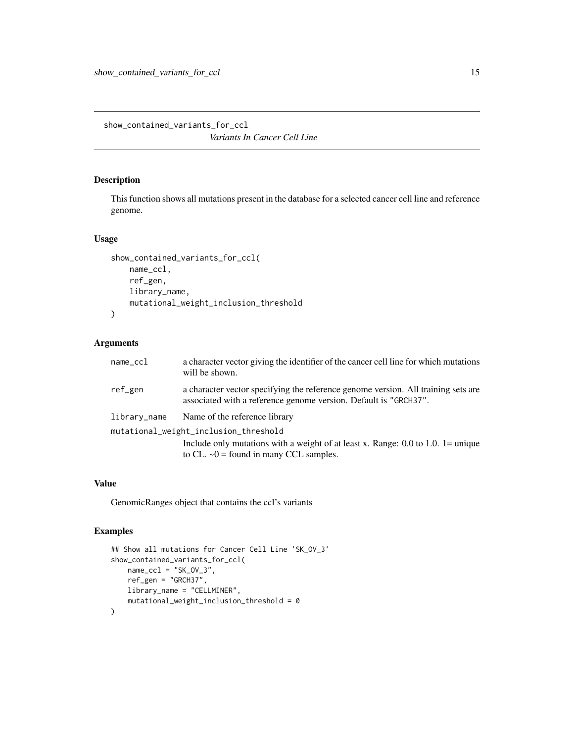<span id="page-14-0"></span>show\_contained\_variants\_for\_ccl *Variants In Cancer Cell Line*

# Description

This function shows all mutations present in the database for a selected cancer cell line and reference genome.

#### Usage

```
show_contained_variants_for_ccl(
   name_ccl,
   ref_gen,
   library_name,
   mutational_weight_inclusion_threshold
)
```
# Arguments

| $name_ccl$                            | a character vector giving the identifier of the cancer cell line for which mutations<br>will be shown.                                                |  |
|---------------------------------------|-------------------------------------------------------------------------------------------------------------------------------------------------------|--|
| ref_gen                               | a character vector specifying the reference genome version. All training sets are<br>associated with a reference genome version. Default is "GRCH37". |  |
| library_name                          | Name of the reference library                                                                                                                         |  |
| mutational_weight_inclusion_threshold |                                                                                                                                                       |  |
|                                       | Include only mutations with a weight of at least x. Range: 0.0 to 1.0. $1 =$ unique<br>to CL. $\sim 0$ = found in many CCL samples.                   |  |

#### Value

GenomicRanges object that contains the ccl's variants

```
## Show all mutations for Cancer Cell Line 'SK_OV_3'
show_contained_variants_for_ccl(
   name_ccl = "SK_0V_3",ref_gen = "GRCH37",
   library_name = "CELLMINER",
   mutational_weight_inclusion_threshold = 0
)
```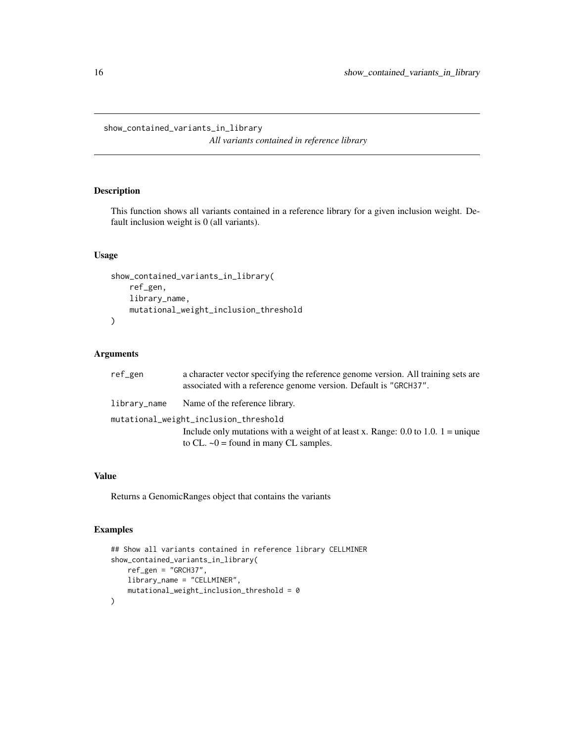<span id="page-15-0"></span>show\_contained\_variants\_in\_library *All variants contained in reference library*

# Description

This function shows all variants contained in a reference library for a given inclusion weight. Default inclusion weight is 0 (all variants).

#### Usage

```
show_contained_variants_in_library(
    ref_gen,
    library_name,
    mutational_weight_inclusion_threshold
\mathcal{L}
```
#### Arguments

| ref_gen                               | a character vector specifying the reference genome version. All training sets are<br>associated with a reference genome version. Default is "GRCH37". |  |
|---------------------------------------|-------------------------------------------------------------------------------------------------------------------------------------------------------|--|
| library_name                          | Name of the reference library.                                                                                                                        |  |
| mutational_weight_inclusion_threshold |                                                                                                                                                       |  |
|                                       | Include only mutations with a weight of at least x. Range: 0.0 to 1.0. 1 = unique                                                                     |  |
|                                       | to CL. $\sim 0$ = found in many CL samples.                                                                                                           |  |

#### Value

Returns a GenomicRanges object that contains the variants

```
## Show all variants contained in reference library CELLMINER
show_contained_variants_in_library(
    ref_gen = "GRCH37",
   library_name = "CELLMINER",
    mutational_weight_inclusion_threshold = 0
\mathcal{L}
```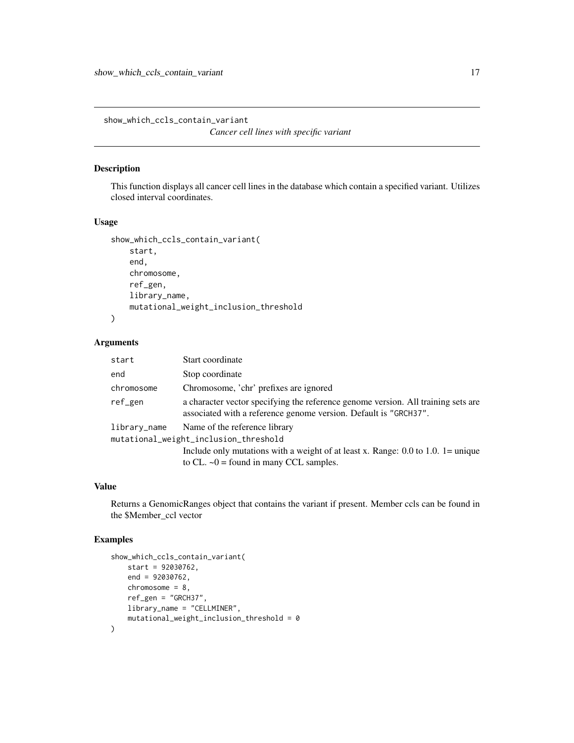<span id="page-16-0"></span>show\_which\_ccls\_contain\_variant

```
Cancer cell lines with specific variant
```
# Description

This function displays all cancer cell lines in the database which contain a specified variant. Utilizes closed interval coordinates.

#### Usage

```
show_which_ccls_contain_variant(
    start,
    end,
   chromosome,
    ref_gen,
   library_name,
   mutational_weight_inclusion_threshold
)
```
#### Arguments

| start                                 | Start coordinate                                                                                                                                      |
|---------------------------------------|-------------------------------------------------------------------------------------------------------------------------------------------------------|
| end                                   | Stop coordinate                                                                                                                                       |
| chromosome                            | Chromosome, 'chr' prefixes are ignored                                                                                                                |
| ref_gen                               | a character vector specifying the reference genome version. All training sets are<br>associated with a reference genome version. Default is "GRCH37". |
| library_name                          | Name of the reference library                                                                                                                         |
| mutational_weight_inclusion_threshold |                                                                                                                                                       |
|                                       | Include only mutations with a weight of at least x. Range: 0.0 to 1.0. 1= unique<br>to CL. $\sim 0$ = found in many CCL samples.                      |

# Value

Returns a GenomicRanges object that contains the variant if present. Member ccls can be found in the \$Member\_ccl vector

```
show_which_ccls_contain_variant(
   start = 92030762,
   end = 92030762,
   chromosome = 8,
   ref_gen = "GRCH37",
   library_name = "CELLMINER",
   mutational_weight_inclusion_threshold = 0
)
```